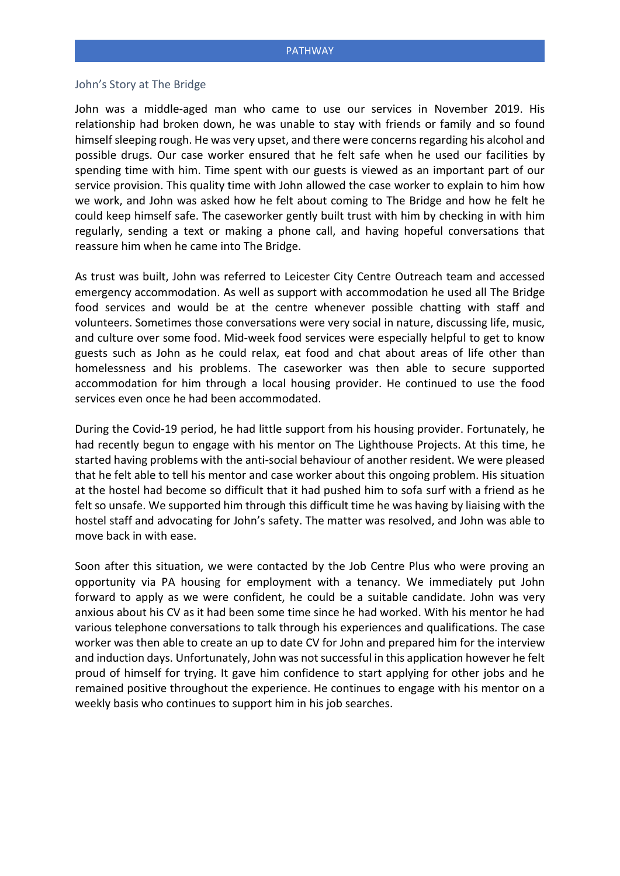#### John's Story at The Bridge

John was a middle-aged man who came to use our services in November 2019. His relationship had broken down, he was unable to stay with friends or family and so found himself sleeping rough. He was very upset, and there were concerns regarding his alcohol and possible drugs. Our case worker ensured that he felt safe when he used our facilities by spending time with him. Time spent with our guests is viewed as an important part of our service provision. This quality time with John allowed the case worker to explain to him how we work, and John was asked how he felt about coming to The Bridge and how he felt he could keep himself safe. The caseworker gently built trust with him by checking in with him regularly, sending a text or making a phone call, and having hopeful conversations that reassure him when he came into The Bridge.

As trust was built, John was referred to Leicester City Centre Outreach team and accessed emergency accommodation. As well as support with accommodation he used all The Bridge food services and would be at the centre whenever possible chatting with staff and volunteers. Sometimes those conversations were very social in nature, discussing life, music, and culture over some food. Mid-week food services were especially helpful to get to know guests such as John as he could relax, eat food and chat about areas of life other than homelessness and his problems. The caseworker was then able to secure supported accommodation for him through a local housing provider. He continued to use the food services even once he had been accommodated.

During the Covid-19 period, he had little support from his housing provider. Fortunately, he had recently begun to engage with his mentor on The Lighthouse Projects. At this time, he started having problems with the anti-social behaviour of another resident. We were pleased that he felt able to tell his mentor and case worker about this ongoing problem. His situation at the hostel had become so difficult that it had pushed him to sofa surf with a friend as he felt so unsafe. We supported him through this difficult time he was having by liaising with the hostel staff and advocating for John's safety. The matter was resolved, and John was able to move back in with ease.

Soon after this situation, we were contacted by the Job Centre Plus who were proving an opportunity via PA housing for employment with a tenancy. We immediately put John forward to apply as we were confident, he could be a suitable candidate. John was very anxious about his CV as it had been some time since he had worked. With his mentor he had various telephone conversations to talk through his experiences and qualifications. The case worker was then able to create an up to date CV for John and prepared him for the interview and induction days. Unfortunately, John was not successful in this application however he felt proud of himself for trying. It gave him confidence to start applying for other jobs and he remained positive throughout the experience. He continues to engage with his mentor on a weekly basis who continues to support him in his job searches.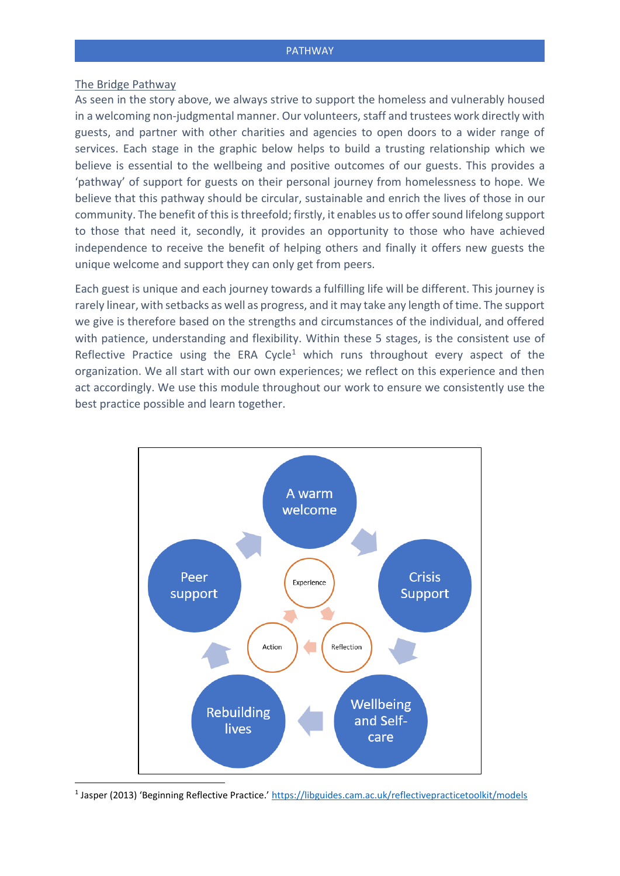#### The Bridge Pathway

As seen in the story above, we always strive to support the homeless and vulnerably housed in a welcoming non-judgmental manner. Our volunteers, staff and trustees work directly with guests, and partner with other charities and agencies to open doors to a wider range of services. Each stage in the graphic below helps to build a trusting relationship which we believe is essential to the wellbeing and positive outcomes of our guests. This provides a 'pathway' of support for guests on their personal journey from homelessness to hope. We believe that this pathway should be circular, sustainable and enrich the lives of those in our community. The benefit of this is threefold; firstly, it enables us to offer sound lifelong support to those that need it, secondly, it provides an opportunity to those who have achieved independence to receive the benefit of helping others and finally it offers new guests the unique welcome and support they can only get from peers.

Each guest is unique and each journey towards a fulfilling life will be different. This journey is rarely linear, with setbacks as well as progress, and it may take any length of time. The support we give is therefore based on the strengths and circumstances of the individual, and offered with patience, understanding and flexibility. Within these 5 stages, is the consistent use of Reflective Practice using the ERA Cycle<sup>1</sup> which runs throughout every aspect of the organization. We all start with our own experiences; we reflect on this experience and then act accordingly. We use this module throughout our work to ensure we consistently use the best practice possible and learn together.



<sup>1</sup> Jasper (2013) 'Beginning Reflective Practice.' <https://libguides.cam.ac.uk/reflectivepracticetoolkit/models>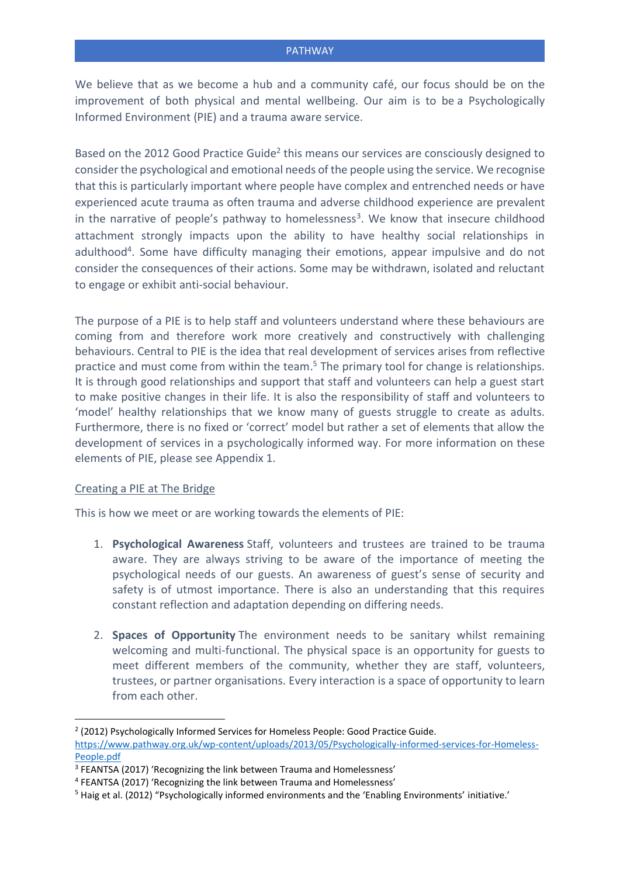We believe that as we become a hub and a community café, our focus should be on the improvement of both physical and mental wellbeing. Our aim is to be a Psychologically Informed Environment (PIE) and a trauma aware service.

Based on the 2012 Good Practice Guide<sup>2</sup> this means our services are consciously designed to consider the psychological and emotional needs of the people using the service. We recognise that this is particularly important where people have complex and entrenched needs or have experienced acute trauma as often trauma and adverse childhood experience are prevalent in the narrative of people's pathway to homelessness<sup>3</sup>. We know that insecure childhood attachment strongly impacts upon the ability to have healthy social relationships in adulthood<sup>4</sup>. Some have difficulty managing their emotions, appear impulsive and do not consider the consequences of their actions. Some may be withdrawn, isolated and reluctant to engage or exhibit anti-social behaviour.

The purpose of a PIE is to help staff and volunteers understand where these behaviours are coming from and therefore work more creatively and constructively with challenging behaviours. Central to PIE is the idea that real development of services arises from reflective practice and must come from within the team. <sup>5</sup> The primary tool for change is relationships. It is through good relationships and support that staff and volunteers can help a guest start to make positive changes in their life. It is also the responsibility of staff and volunteers to 'model' healthy relationships that we know many of guests struggle to create as adults. Furthermore, there is no fixed or 'correct' model but rather a set of elements that allow the development of services in a psychologically informed way. For more information on these elements of PIE, please see Appendix 1.

# Creating a PIE at The Bridge

This is how we meet or are working towards the elements of PIE:

- 1. **Psychological Awareness** Staff, volunteers and trustees are trained to be trauma aware. They are always striving to be aware of the importance of meeting the psychological needs of our guests. An awareness of guest's sense of security and safety is of utmost importance. There is also an understanding that this requires constant reflection and adaptation depending on differing needs.
- 2. **Spaces of Opportunity** The environment needs to be sanitary whilst remaining welcoming and multi-functional. The physical space is an opportunity for guests to meet different members of the community, whether they are staff, volunteers, trustees, or partner organisations. Every interaction is a space of opportunity to learn from each other.

<sup>&</sup>lt;sup>2</sup> (2012) Psychologically Informed Services for Homeless People: Good Practice Guide.

[https://www.pathway.org.uk/wp-content/uploads/2013/05/Psychologically-informed-services-for-Homeless-](https://www.pathway.org.uk/wp-content/uploads/2013/05/Psychologically-informed-services-for-Homeless-People.pdf)[People.pdf](https://www.pathway.org.uk/wp-content/uploads/2013/05/Psychologically-informed-services-for-Homeless-People.pdf)

<sup>&</sup>lt;sup>3</sup> FEANTSA (2017) 'Recognizing the link between Trauma and Homelessness'

<sup>4</sup> FEANTSA (2017) 'Recognizing the link between Trauma and Homelessness'

<sup>5</sup> Haig et al. (2012) "Psychologically informed environments and the 'Enabling Environments' initiative.'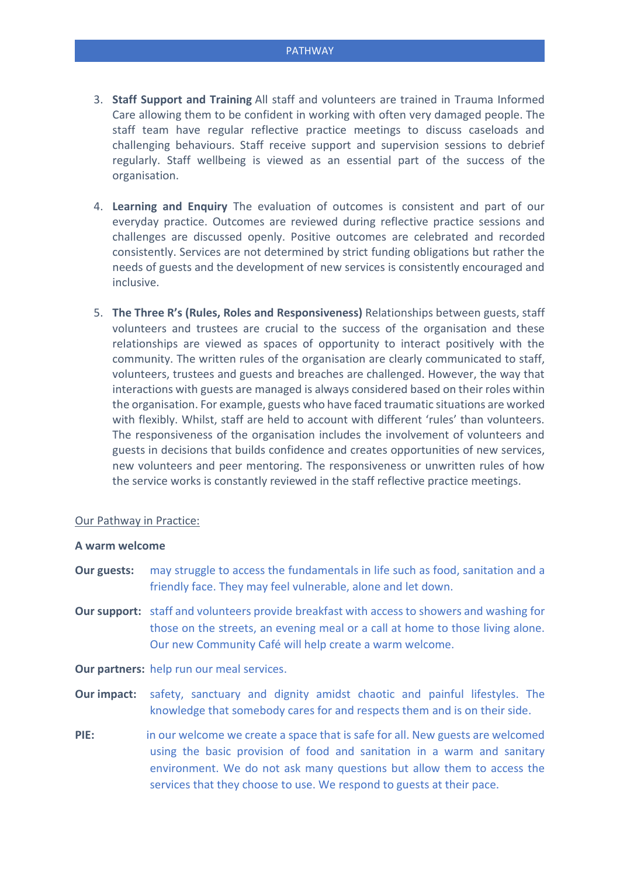- 3. **Staff Support and Training** All staff and volunteers are trained in Trauma Informed Care allowing them to be confident in working with often very damaged people. The staff team have regular reflective practice meetings to discuss caseloads and challenging behaviours. Staff receive support and supervision sessions to debrief regularly. Staff wellbeing is viewed as an essential part of the success of the organisation.
- 4. **Learning and Enquiry** The evaluation of outcomes is consistent and part of our everyday practice. Outcomes are reviewed during reflective practice sessions and challenges are discussed openly. Positive outcomes are celebrated and recorded consistently. Services are not determined by strict funding obligations but rather the needs of guests and the development of new services is consistently encouraged and inclusive.
- 5. **The Three R's (Rules, Roles and Responsiveness)** Relationships between guests, staff volunteers and trustees are crucial to the success of the organisation and these relationships are viewed as spaces of opportunity to interact positively with the community. The written rules of the organisation are clearly communicated to staff, volunteers, trustees and guests and breaches are challenged. However, the way that interactions with guests are managed is always considered based on their roles within the organisation. For example, guests who have faced traumatic situations are worked with flexibly. Whilst, staff are held to account with different 'rules' than volunteers. The responsiveness of the organisation includes the involvement of volunteers and guests in decisions that builds confidence and creates opportunities of new services, new volunteers and peer mentoring. The responsiveness or unwritten rules of how the service works is constantly reviewed in the staff reflective practice meetings.

#### Our Pathway in Practice:

#### **A warm welcome**

- **Our guests:** may struggle to access the fundamentals in life such as food, sanitation and a friendly face. They may feel vulnerable, alone and let down.
- **Our support:** staff and volunteers provide breakfast with access to showers and washing for those on the streets, an evening meal or a call at home to those living alone. Our new Community Café will help create a warm welcome.

**Our partners:** help run our meal services.

- **Our impact:** safety, sanctuary and dignity amidst chaotic and painful lifestyles. The knowledge that somebody cares for and respects them and is on their side.
- **PIE:** in our welcome we create a space that is safe for all. New guests are welcomed using the basic provision of food and sanitation in a warm and sanitary environment. We do not ask many questions but allow them to access the services that they choose to use. We respond to guests at their pace.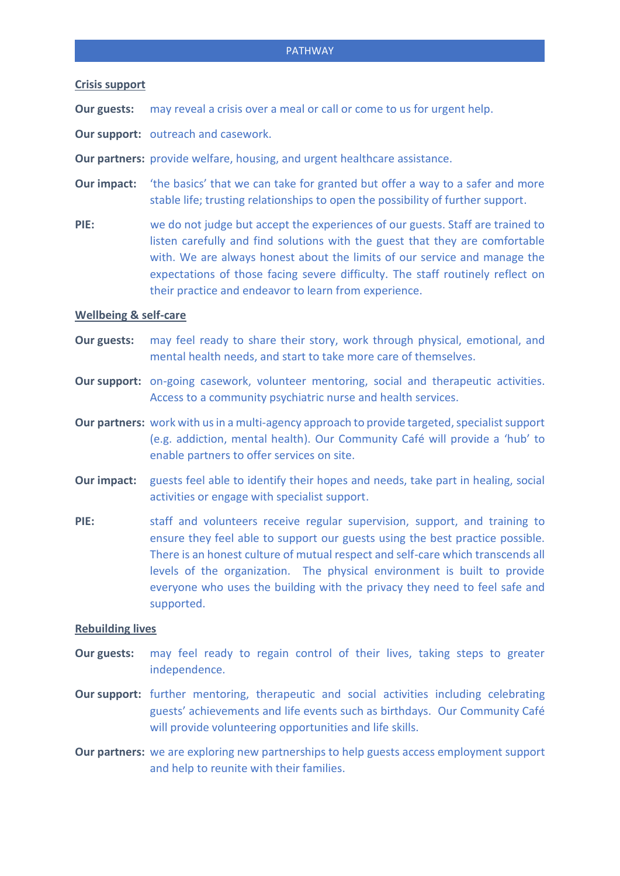# **Crisis support**

**Our guests:** may reveal a crisis over a meal or call or come to us for urgent help.

**Our support:** outreach and casework.

**Our partners:** provide welfare, housing, and urgent healthcare assistance.

**Our impact:** 'the basics' that we can take for granted but offer a way to a safer and more stable life; trusting relationships to open the possibility of further support.

**PIE:** we do not judge but accept the experiences of our guests. Staff are trained to listen carefully and find solutions with the guest that they are comfortable with. We are always honest about the limits of our service and manage the expectations of those facing severe difficulty. The staff routinely reflect on their practice and endeavor to learn from experience.

# **Wellbeing & self-care**

- **Our guests:** may feel ready to share their story, work through physical, emotional, and mental health needs, and start to take more care of themselves.
- **Our support:** on-going casework, volunteer mentoring, social and therapeutic activities. Access to a community psychiatric nurse and health services.
- **Our partners:** work with us in a multi-agency approach to provide targeted, specialist support (e.g. addiction, mental health). Our Community Café will provide a 'hub' to enable partners to offer services on site.
- **Our impact:** guests feel able to identify their hopes and needs, take part in healing, social activities or engage with specialist support.
- **PIE:** staff and volunteers receive regular supervision, support, and training to ensure they feel able to support our guests using the best practice possible. There is an honest culture of mutual respect and self-care which transcends all levels of the organization. The physical environment is built to provide everyone who uses the building with the privacy they need to feel safe and supported.

### **Rebuilding lives**

- **Our guests:** may feel ready to regain control of their lives, taking steps to greater independence.
- **Our support:** further mentoring, therapeutic and social activities including celebrating guests' achievements and life events such as birthdays. Our Community Café will provide volunteering opportunities and life skills.
- **Our partners:** we are exploring new partnerships to help guests access employment support and help to reunite with their families.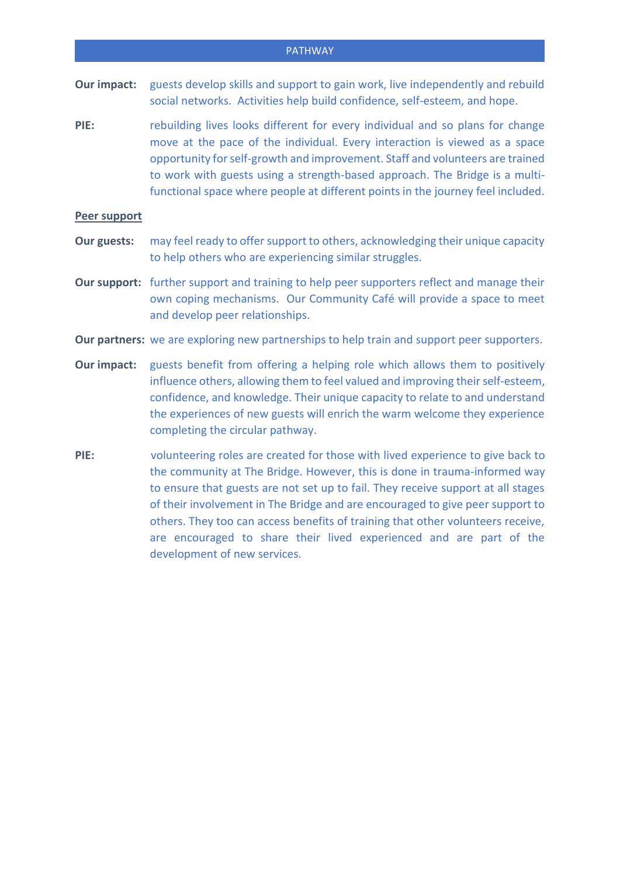### PATHWAY

- **Our impact:** guests develop skills and support to gain work, live independently and rebuild social networks. Activities help build confidence, self-esteem, and hope.
- **PIE:** rebuilding lives looks different for every individual and so plans for change move at the pace of the individual. Every interaction is viewed as a space opportunity for self-growth and improvement. Staff and volunteers are trained to work with guests using a strength-based approach. The Bridge is a multifunctional space where people at different points in the journey feel included.

# **Peer support**

- **Our guests:** may feel ready to offer support to others, acknowledging their unique capacity to help others who are experiencing similar struggles.
- **Our support:** further support and training to help peer supporters reflect and manage their own coping mechanisms. Our Community Café will provide a space to meet and develop peer relationships.
- **Our partners:** we are exploring new partnerships to help train and support peer supporters.
- **Our impact:** guests benefit from offering a helping role which allows them to positively influence others, allowing them to feel valued and improving their self-esteem, confidence, and knowledge. Their unique capacity to relate to and understand the experiences of new guests will enrich the warm welcome they experience completing the circular pathway.
- **PIE:** volunteering roles are created for those with lived experience to give back to the community at The Bridge. However, this is done in trauma-informed way to ensure that guests are not set up to fail. They receive support at all stages of their involvement in The Bridge and are encouraged to give peer support to others. They too can access benefits of training that other volunteers receive, are encouraged to share their lived experienced and are part of the development of new services.